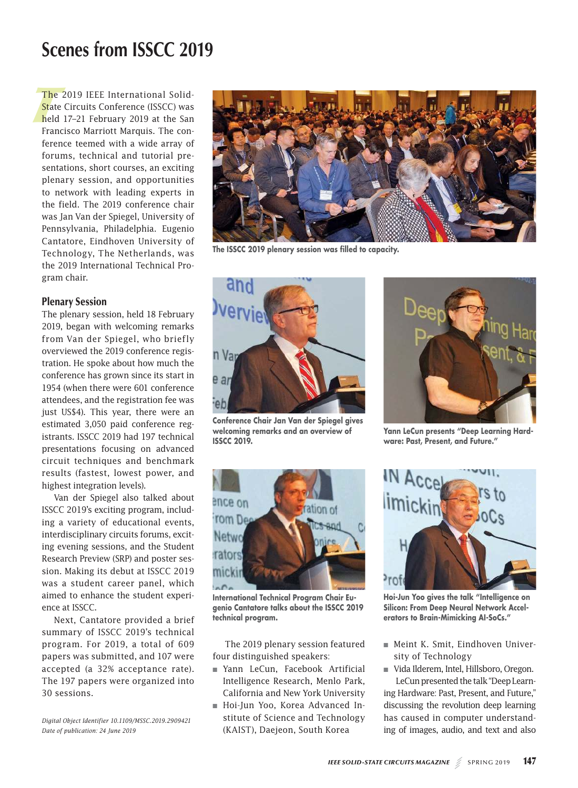# **Scenes from ISSCC 2019**

The 2<br>State (<br>held 1 The 2019 IEEE International Solid-State Circuits Conference (ISSCC) was held 17–21 February 2019 at the San Francisco Marriott Marquis. The conference teemed with a wide array of forums, technical and tutorial presentations, short courses, an exciting plenary session, and opportunities to network with leading experts in the field. The 2019 conference chair was Jan Van der Spiegel, University of Pennsylvania, Philadelphia. Eugenio Cantatore, Eindhoven University of Technology, The Netherlands, was the 2019 International Technical Program chair.

## Plenary Session

The plenary session, held 18 February 2019, began with welcoming remarks from Van der Spiegel, who briefly overviewed the 2019 conference registration. He spoke about how much the conference has grown since its start in 1954 (when there were 601 conference attendees, and the registration fee was just US\$4). This year, there were an estimated 3,050 paid conference registrants. ISSCC 2019 had 197 technical presentations focusing on advanced circuit techniques and benchmark results (fastest, lowest power, and highest integration levels).

Van der Spiegel also talked about ISSCC 2019's exciting program, including a variety of educational events, interdisciplinary circuits forums, exciting evening sessions, and the Student Research Preview (SRP) and poster session. Making its debut at ISSCC 2019 was a student career panel, which aimed to enhance the student experience at ISSCC.

Next, Cantatore provided a brief summary of ISSCC 2019's technical program. For 2019, a total of 609 papers was submitted, and 107 were accepted (a 32% acceptance rate). The 197 papers were organized into 30 sessions.

*Digital Object Identifier 10.1109/MSSC.2019.2909421 Date of publication: 24 June 2019*



**The ISSCC 2019 plenary session was filled to capacity.**



**Conference Chair Jan Van der Spiegel gives welcoming remarks and an overview of ISSCC 2019.**



**Yann LeCun presents "Deep Learning Hardware: Past, Present, and Future."**



**International Technical Program Chair Eugenio Cantatore talks about the ISSCC 2019 technical program.**

The 2019 plenary session featured four distinguished speakers:

- Yann LeCun, Facebook Artificial Intelligence Research, Menlo Park, California and New York University
- Hoi-Jun Yoo, Korea Advanced Institute of Science and Technology (KAIST), Daejeon, South Korea



**Hoi-Jun Yoo gives the talk "Intelligence on Silicon: From Deep Neural Network Accelerators to Brain-Mimicking AI-SoCs."**

- Meint K. Smit, Eindhoven University of Technology
- Vida Ilderem, Intel, Hillsboro, Oregon. LeCun presented the talk "Deep Learn-

ing Hardware: Past, Present, and Future," discussing the revolution deep learning has caused in computer understanding of images, audio, and text and also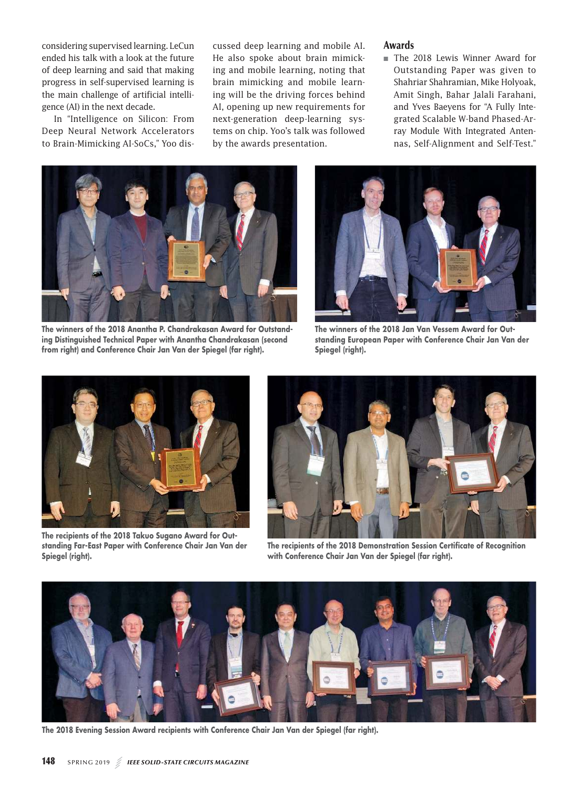considering supervised learning. LeCun ended his talk with a look at the future of deep learning and said that making progress in self-supervised learning is the main challenge of artificial intelligence (AI) in the next decade.

In "Intelligence on Silicon: From Deep Neural Network Accelerators to Brain-Mimicking AI-SoCs," Yoo discussed deep learning and mobile AI. He also spoke about brain mimicking and mobile learning, noting that brain mimicking and mobile learning will be the driving forces behind AI, opening up new requirements for next-generation deep-learning systems on chip. Yoo's talk was followed by the awards presentation.

## Awards

■ The 2018 Lewis Winner Award for Outstanding Paper was given to Shahriar Shahramian, Mike Holyoak, Amit Singh, Bahar Jalali Farahani, and Yves Baeyens for "A Fully Integrated Scalable W-band Phased-Array Module With Integrated Antennas, Self-Alignment and Self-Test."



**The winners of the 2018 Anantha P. Chandrakasan Award for Outstanding Distinguished Technical Paper with Anantha Chandrakasan (second from right) and Conference Chair Jan Van der Spiegel (far right).**



**The winners of the 2018 Jan Van Vessem Award for Outstanding European Paper with Conference Chair Jan Van der Spiegel (right).** 



**The recipients of the 2018 Takuo Sugano Award for Outstanding Far-East Paper with Conference Chair Jan Van der Spiegel (right).** 



**The recipients of the 2018 Demonstration Session Certificate of Recognition with Conference Chair Jan Van der Spiegel (far right).**



**The 2018 Evening Session Award recipients with Conference Chair Jan Van der Spiegel (far right).**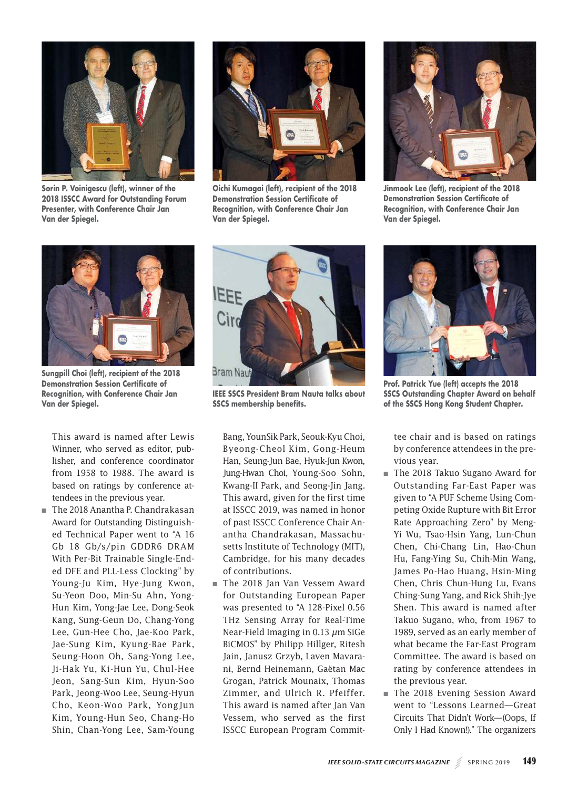

**Sorin P. Voinigescu (left), winner of the 2018 ISSCC Award for Outstanding Forum Presenter, with Conference Chair Jan Van der Spiegel.**



**Oichi Kumagai (left), recipient of the 2018 Demonstration Session Certificate of Recognition, with Conference Chair Jan Van der Spiegel.**



**Jinmook Lee (left), recipient of the 2018 Demonstration Session Certificate of Recognition, with Conference Chair Jan Van der Spiegel.**



**Sungpill Choi (left), recipient of the 2018 Demonstration Session Certificate of Recognition, with Conference Chair Jan Van der Spiegel.**

This award is named after Lewis Winner, who served as editor, publisher, and conference coordinator from 1958 to 1988. The award is based on ratings by conference attendees in the previous year.

 ■ The 2018 Anantha P. Chandrakasan Award for Outstanding Distinguished Technical Paper went to "A 16 Gb 18 Gb/s/pin GDDR6 DRAM With Per-Bit Trainable Single-Ended DFE and PLL-Less Clocking" by Young-Ju Kim, Hye-Jung Kwon, Su-Yeon Doo, Min-Su Ahn, Yong-Hun Kim, Yong-Jae Lee, Dong-Seok Kang, Sung-Geun Do, Chang-Yong Lee, Gun-Hee Cho, Jae-Koo Park, Jae-Sung Kim, Kyung-Bae Park, Seung-Hoon Oh, Sang-Yong Lee, Ji-Hak Yu, Ki-Hun Yu, Chul-Hee Jeon, Sang-Sun Kim, Hyun-Soo Park, Jeong-Woo Lee, Seung-Hyun Cho, Keon-Woo Park, YongJun Kim, Young-Hun Seo, Chang-Ho Shin, Chan-Yong Lee, Sam-Young



**IEEE SSCS President Bram Nauta talks about SSCS membership benefits.**

Bang, YounSik Park, Seouk-Kyu Choi, Byeong-Cheol Kim, Gong-Heum Han, Seung-Jun Bae, Hyuk-Jun Kwon, Jung-Hwan Choi, Young-Soo Sohn, Kwang-II Park, and Seong-Jin Jang. This award, given for the first time at ISSCC 2019, was named in honor of past ISSCC Conference Chair Anantha Chandrakasan, Massachusetts Institute of Technology (MIT), Cambridge, for his many decades of contributions.

■ The 2018 Jan Van Vessem Award for Outstanding European Paper was presented to "A 128-Pixel 0.56 THz Sensing Array for Real-Time Near-Field Imaging in 0.13 *μ*m SiGe BiCMOS" by Philipp Hillger, Ritesh Jain, Janusz Grzyb, Laven Mavarani, Bernd Heinemann, Gaëtan Mac Grogan, Patrick Mounaix, Thomas Zimmer, and Ulrich R. Pfeiffer. This award is named after Jan Van Vessem, who served as the first ISSCC European Program Commit-



**Prof. Patrick Yue (left) accepts the 2018 SSCS Outstanding Chapter Award on behalf of the SSCS Hong Kong Student Chapter.**

tee chair and is based on ratings by conference attendees in the previous year.

- The 2018 Takuo Sugano Award for Outstanding Far-East Paper was given to "A PUF Scheme Using Competing Oxide Rupture with Bit Error Rate Approaching Zero" by Meng-Yi Wu, Tsao-Hsin Yang, Lun-Chun Chen, Chi-Chang Lin, Hao-Chun Hu, Fang-Ying Su, Chih-Min Wang, James Po-Hao Huang, Hsin-Ming Chen, Chris Chun-Hung Lu, Evans Ching-Sung Yang, and Rick Shih-Jye Shen. This award is named after Takuo Sugano, who, from 1967 to 1989, served as an early member of what became the Far-East Program Committee. The award is based on rating by conference attendees in the previous year.
- The 2018 Evening Session Award went to "Lessons Learned—Great Circuits That Didn't Work—(Oops, If Only I Had Known!)." The organizers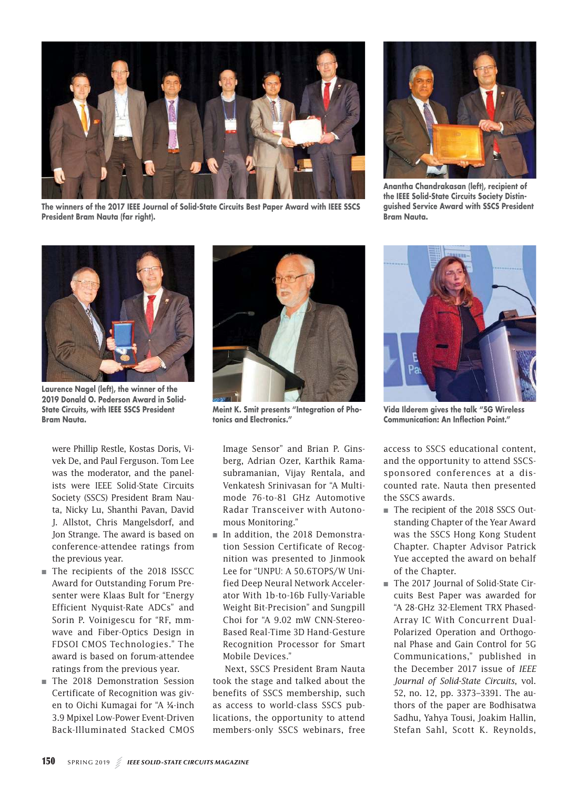

**The winners of the 2017 IEEE Journal of Solid-State Circuits Best Paper Award with IEEE SSCS President Bram Nauta (far right).** 



**Anantha Chandrakasan (left), recipient of the IEEE Solid-State Circuits Society Distinguished Service Award with SSCS President Bram Nauta.**



**Laurence Nagel (left), the winner of the 2019 Donald O. Pederson Award in Solid-State Circuits, with IEEE SSCS President Bram Nauta.**

were Phillip Restle, Kostas Doris, Vivek De, and Paul Ferguson. Tom Lee was the moderator, and the panelists were IEEE Solid-State Circuits Society (SSCS) President Bram Nauta, Nicky Lu, Shanthi Pavan, David J. Allstot, Chris Mangelsdorf, and Jon Strange. The award is based on conference-attendee ratings from the previous year.

- The recipients of the 2018 ISSCC Award for Outstanding Forum Presenter were Klaas Bult for "Energy Efficient Nyquist-Rate ADCs" and Sorin P. Voinigescu for "RF, mmwave and Fiber-Optics Design in FDSOI CMOS Technologies." The award is based on forum-attendee ratings from the previous year.
- The 2018 Demonstration Session Certificate of Recognition was given to Oichi Kumagai for "A ¼-inch 3.9 Mpixel Low-Power Event-Driven Back-Illuminated Stacked CMOS



**Meint K. Smit presents "Integration of Photonics and Electronics."**

Image Sensor" and Brian P. Ginsberg, Adrian Ozer, Karthik Ramasubramanian, Vijay Rentala, and Venkatesh Srinivasan for "A Multimode 76-to-81 GHz Automotive Radar Transceiver with Autonomous Monitoring."

 ■ In addition, the 2018 Demonstration Session Certificate of Recognition was presented to Jinmook Lee for "UNPU: A 50.6TOPS/W Unified Deep Neural Network Accelerator With 1b-to-16b Fully-Variable Weight Bit-Precision" and Sungpill Choi for "A 9.02 mW CNN-Stereo-Based Real-Time 3D Hand-Gesture Recognition Processor for Smart Mobile Devices."

Next, SSCS President Bram Nauta took the stage and talked about the benefits of SSCS membership, such as access to world-class SSCS publications, the opportunity to attend members-only SSCS webinars, free



**Vida Ilderem gives the talk "5G Wireless Communication: An Inflection Point."**

access to SSCS educational content, and the opportunity to attend SSCSsponsored conferences at a discounted rate. Nauta then presented the SSCS awards.

- The recipient of the 2018 SSCS Outstanding Chapter of the Year Award was the SSCS Hong Kong Student Chapter. Chapter Advisor Patrick Yue accepted the award on behalf of the Chapter.
- The 2017 Journal of Solid-State Circuits Best Paper was awarded for "A 28-GHz 32-Element TRX Phased-Array IC With Concurrent Dual-Polarized Operation and Orthogonal Phase and Gain Control for 5G Communications," published in the December 2017 issue of *IEEE Journal of Solid-State Circuits*, vol. 52, no. 12, pp. 3373–3391. The authors of the paper are Bodhisatwa Sadhu, Yahya Tousi, Joakim Hallin, Stefan Sahl, Scott K. Reynolds,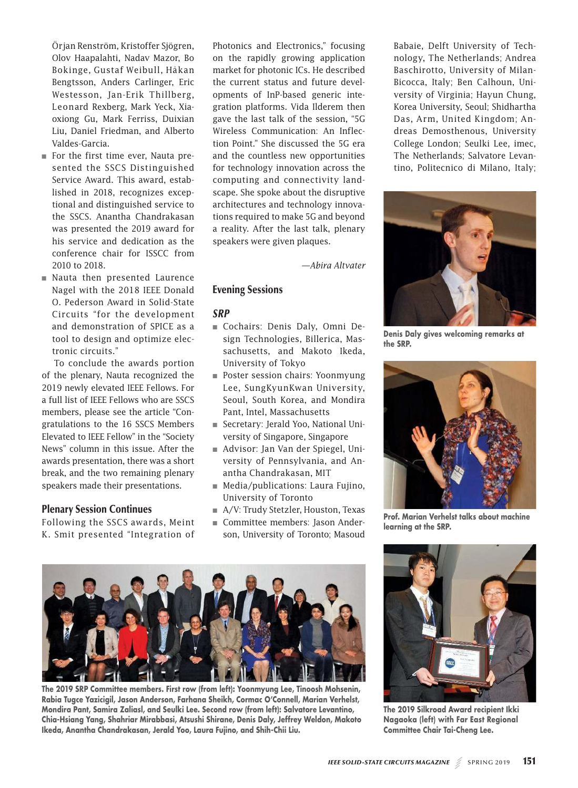Örjan Renström, Kristoffer Sjögren, Olov Haapalahti, Nadav Mazor, Bo Bokinge, Gustaf Weibull, Håkan Bengtsson, Anders Carlinger, Eric Westesson, Jan-Erik Thillberg, Leonard Rexberg, Mark Yeck, Xiaoxiong Gu, Mark Ferriss, Duixian Liu, Daniel Friedman, and Alberto Valdes-Garcia.

- For the first time ever, Nauta presented the SSCS Distinguished Service Award. This award, established in 2018, recognizes exceptional and distinguished service to the SSCS. Anantha Chandrakasan was presented the 2019 award for his service and dedication as the conference chair for ISSCC from 2010 to 2018.
- Nauta then presented Laurence Nagel with the 2018 IEEE Donald O. Pederson Award in Solid-State Circuits "for the development and demonstration of SPICE as a tool to design and optimize electronic circuits."

To conclude the awards portion of the plenary, Nauta recognized the 2019 newly elevated IEEE Fellows. For a full list of IEEE Fellows who are SSCS members, please see the article "Congratulations to the 16 SSCS Members Elevated to IEEE Fellow" in the "Society News" column in this issue. After the awards presentation, there was a short break, and the two remaining plenary speakers made their presentations.

### Plenary Session Continues

Following the SSCS awards, Meint K. Smit presented "Integration of

Photonics and Electronics," focusing on the rapidly growing application market for photonic ICs. He described the current status and future developments of InP-based generic integration platforms. Vida Ilderem then gave the last talk of the session, "5G Wireless Communication: An Inflection Point." She discussed the 5G era and the countless new opportunities for technology innovation across the computing and connectivity landscape. She spoke about the disruptive architectures and technology innovations required to make 5G and beyond a reality. After the last talk, plenary speakers were given plaques.

- Lee, SungKyunKwan University, Seoul, South Korea, and Mondira Pant, Intel, Massachusetts
- Secretary: Jerald Yoo, National University of Singapore, Singapore
- Advisor: Jan Van der Spiegel, University of Pennsylvania, and Anantha Chandrakasan, MIT
- Media/publications: Laura Fujino, University of Toronto
- A/V: Trudy Stetzler, Houston, Texas
- Committee members: Jason Anderson, University of Toronto; Masoud





Babaie, Delft University of Technology, The Netherlands; Andrea Baschirotto, University of Milan-Bicocca, Italy; Ben Calhoun, University of Virginia; Hayun Chung, Korea University, Seoul; Shidhartha Das, Arm, United Kingdom; Andreas Demosthenous, University College London; Seulki Lee, imec, The Netherlands; Salvatore Levantino, Politecnico di Milano, Italy;

**Prof. Marian Verhelst talks about machine learning at the SRP.**



**Rabia Tugce Yazicigil, Jason Anderson, Farhana Sheikh, Cormac O'Connell, Marian Verhelst, Mondira Pant, Samira Zaliasl, and Seulki Lee. Second row (from left): Salvatore Levantino, Chia-Hsiang Yang, Shahriar Mirabbasi, Atsushi Shirane, Denis Daly, Jeffrey Weldon, Makoto Ikeda, Anantha Chandrakasan, Jerald Yoo, Laura Fujino, and Shih-Chii Liu. The 2019 Silkroad Award recipient Ikki** 

**Nagaoka (left) with Far East Regional Committee Chair Tai-Cheng Lee.**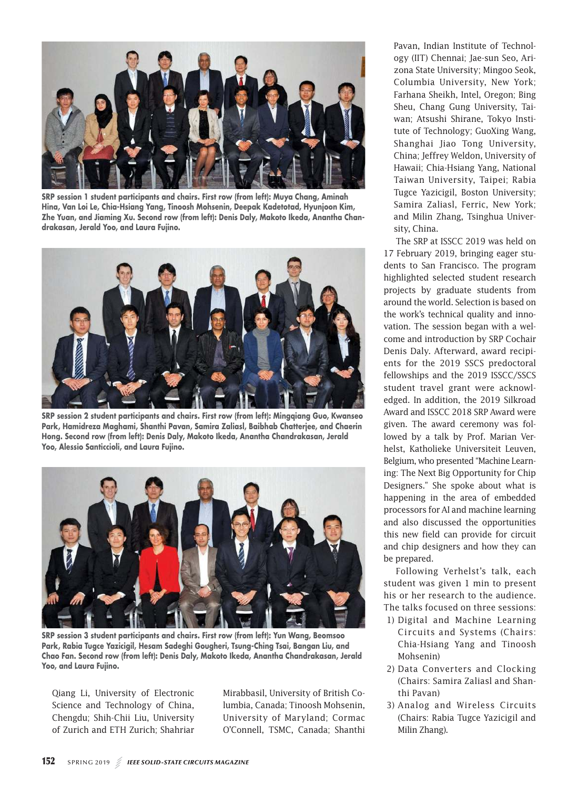

**SRP session 1 student participants and chairs. First row (from left): Muya Chang, Aminah Hina, Van Loi Le, Chia-Hsiang Yang, Tinoosh Mohsenin, Deepak Kadetotad, Hyunjoon Kim, Zhe Yuan, and Jiaming Xu. Second row (from left): Denis Daly, Makoto Ikeda, Anantha Chandrakasan, Jerald Yoo, and Laura Fujino.**



**SRP session 2 student participants and chairs. First row (from left): Mingqiang Guo, Kwanseo Park, Hamidreza Maghami, Shanthi Pavan, Samira Zaliasl, Baibhab Chatterjee, and Chaerin Hong. Second row (from left): Denis Daly, Makoto Ikeda, Anantha Chandrakasan, Jerald Yoo, Alessio Santiccioli, and Laura Fujino.**



**SRP session 3 student participants and chairs. First row (from left): Yun Wang, Beomsoo Park, Rabia Tugce Yazicigil, Hesam Sadeghi Gougheri, Tsung-Ching Tsai, Bangan Liu, and Chao Fan. Second row (from left): Denis Daly, Makoto Ikeda, Anantha Chandrakasan, Jerald Yoo, and Laura Fujino.**

Qiang Li, University of Electronic Science and Technology of China, Chengdu; Shih-Chii Liu, University of Zurich and ETH Zurich; Shahriar

Mirabbasil, University of British Columbia, Canada; Tinoosh Mohsenin, University of Maryland; Cormac O'Connell, TSMC, Canada; Shanthi

Pavan, Indian Institute of Technology (IIT) Chennai; Jae-sun Seo, Arizona State University; Mingoo Seok, Columbia University, New York; Farhana Sheikh, Intel, Oregon; Bing Sheu, Chang Gung University, Taiwan; Atsushi Shirane, Tokyo Institute of Technology; GuoXing Wang, Shanghai Jiao Tong University, China; Jeffrey Weldon, University of Hawaii; Chia-Hsiang Yang, National Taiwan University, Taipei; Rabia Tugce Yazicigil, Boston University; Samira Zaliasl, Ferric, New York; and Milin Zhang, Tsinghua University, China.

The SRP at ISSCC 2019 was held on 17 February 2019, bringing eager students to San Francisco. The program highlighted selected student research projects by graduate students from around the world. Selection is based on the work's technical quality and innovation. The session began with a welcome and introduction by SRP Cochair Denis Daly. Afterward, award recipients for the 2019 SSCS predoctoral fellowships and the 2019 ISSCC/SSCS student travel grant were acknowledged. In addition, the 2019 Silkroad Award and ISSCC 2018 SRP Award were given. The award ceremony was followed by a talk by Prof. Marian Verhelst, Katholieke Universiteit Leuven, Belgium, who presented "Machine Learning: The Next Big Opportunity for Chip Designers." She spoke about what is happening in the area of embedded processors for AI and machine learning and also discussed the opportunities this new field can provide for circuit and chip designers and how they can be prepared.

Following Verhelst's talk, each student was given 1 min to present his or her research to the audience. The talks focused on three sessions:

- 1) Digital and Machine Learning Circuits and Systems (Chairs: Chia-Hsiang Yang and Tinoosh Mohsenin)
- 2) Data Converters and Clocking (Chairs: Samira Zaliasl and Shanthi Pavan)
- 3) Analog and Wireless Circuits (Chairs: Rabia Tugce Yazicigil and Milin Zhang).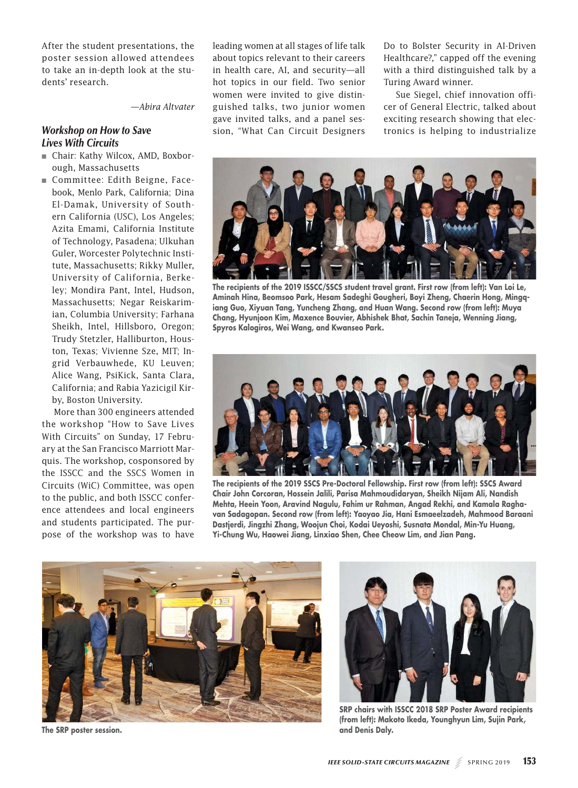After the student presentations, the poster session allowed attendees to take an in-depth look at the students' research.

*—Abira Altvater*

# *Workshop on How to Save Lives With Circuits*

- Chair: Kathy Wilcox, AMD, Boxborough, Massachusetts
- Committee: Edith Beigne, Facebook, Menlo Park, California; Dina El-Damak, University of Southern California (USC), Los Angeles; Azita Emami, California Institute of Technology, Pasadena; Ulkuhan Guler, Worcester Polytechnic Institute, Massachusetts; Rikky Muller, University of California, Berkeley; Mondira Pant, Intel, Hudson, Massachusetts; Negar Reiskarimian, Columbia University; Farhana Sheikh, Intel, Hillsboro, Oregon; Trudy Stetzler, Halliburton, Houston, Texas; Vivienne Sze, MIT; Ingrid Verbauwhede, KU Leuven; Alice Wang, PsiKick, Santa Clara, California; and Rabia Yazicigil Kirby, Boston University.

More than 300 engineers attended the workshop "How to Save Lives With Circuits" on Sunday, 17 February at the San Francisco Marriott Marquis. The workshop, cosponsored by the ISSCC and the SSCS Women in Circuits (WiC) Committee, was open to the public, and both ISSCC conference attendees and local engineers and students participated. The purpose of the workshop was to have

leading women at all stages of life talk about topics relevant to their careers in health care, AI, and security—all hot topics in our field. Two senior women were invited to give distinguished talks, two junior women gave invited talks, and a panel session, "What Can Circuit Designers Do to Bolster Security in AI-Driven Healthcare?," capped off the evening with a third distinguished talk by a Turing Award winner.

Sue Siegel, chief innovation officer of General Electric, talked about exciting research showing that electronics is helping to industrialize



**The recipients of the 2019 ISSCC/SSCS student travel grant. First row (from left): Van Loi Le, Aminah Hina, Beomsoo Park, Hesam Sadeghi Gougheri, Boyi Zheng, Chaerin Hong, Mingqiang Guo, Xiyuan Tang, Yuncheng Zhang, and Huan Wang. Second row (from left): Muya Chang, Hyunjoon Kim, Maxence Bouvier, Abhishek Bhat, Sachin Taneja, Wenning Jiang, Spyros Kalogiros, Wei Wang, and Kwanseo Park.**



**The recipients of the 2019 SSCS Pre-Doctoral Fellowship. First row (from left): SSCS Award Chair John Corcoran, Hossein Jalili, Parisa Mahmoudidaryan, Sheikh Nijam Ali, Nandish Mehta, Heein Yoon, Aravind Nagulu, Fahim ur Rahman, Angad Rekhi, and Kamala Raghavan Sadagopan. Second row (from left): Yaoyao Jia, Hani Esmaeelzadeh, Mahmood Baraani Dastjerdi, Jingzhi Zhang, Woojun Choi, Kodai Ueyoshi, Susnata Mondal, Min-Yu Huang, Yi-Chung Wu, Haowei Jiang, Linxiao Shen, Chee Cheow Lim, and Jian Pang.**



**The SRP poster session.**



**SRP chairs with ISSCC 2018 SRP Poster Award recipients (from left): Makoto Ikeda, Younghyun Lim, Sujin Park, and Denis Daly.**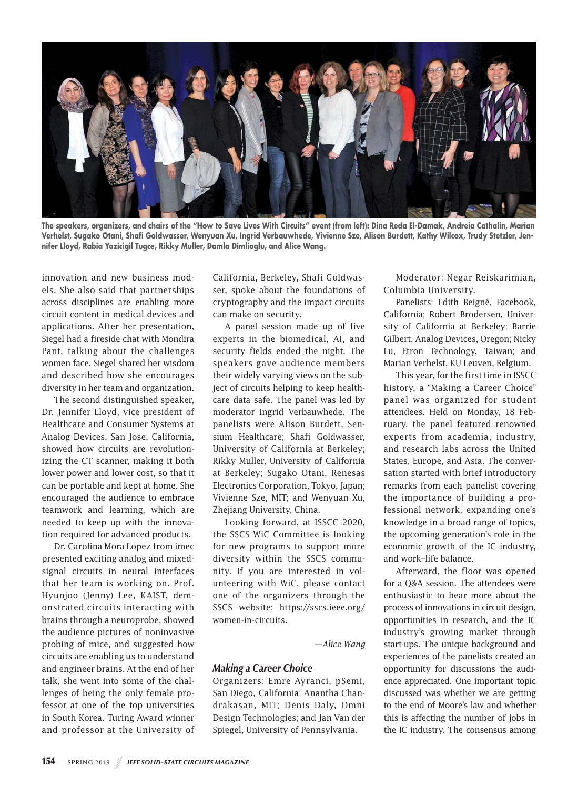

**The speakers, organizers, and chairs of the "How to Save Lives With Circuits" event (from left): Dina Reda El-Damak, Andreia Cathalin, Marian Verhelst, Sugako Otani, Shafi Goldwasser, Wenyuan Xu, Ingrid Verbauwhede, Vivienne Sze, Alison Burdett, Kathy Wilcox, Trudy Stetzler, Jennifer Lloyd, Rabia Yazicigil Tugce, Rikky Muller, Damla Dimlioglu, and Alice Wang.**

innovation and new business models. She also said that partnerships across disciplines are enabling more circuit content in medical devices and applications. After her presentation, Siegel had a fireside chat with Mondira Pant, talking about the challenges women face. Siegel shared her wisdom and described how she encourages diversity in her team and organization.

The second distinguished speaker, Dr. Jennifer Lloyd, vice president of Healthcare and Consumer Systems at Analog Devices, San Jose, California, showed how circuits are revolutionizing the CT scanner, making it both lower power and lower cost, so that it can be portable and kept at home. She encouraged the audience to embrace teamwork and learning, which are needed to keep up with the innovation required for advanced products.

Dr. Carolina Mora Lopez from imec presented exciting analog and mixedsignal circuits in neural interfaces that her team is working on. Prof. Hyunjoo (Jenny) Lee, KAIST, demonstrated circuits interacting with brains through a neuroprobe, showed the audience pictures of noninvasive probing of mice, and suggested how circuits are enabling us to understand and engineer brains. At the end of her talk, she went into some of the challenges of being the only female professor at one of the top universities in South Korea. Turing Award winner and professor at the University of California, Berkeley, Shafi Goldwasser, spoke about the foundations of cryptography and the impact circuits can make on security.

A panel session made up of five experts in the biomedical, AI, and security fields ended the night. The speakers gave audience members their widely varying views on the subject of circuits helping to keep healthcare data safe. The panel was led by moderator Ingrid Verbauwhede. The panelists were Alison Burdett, Sensium Healthcare; Shafi Goldwasser, University of California at Berkeley; Rikky Muller, University of California at Berkeley; Sugako Otani, Renesas Electronics Corporation, Tokyo, Japan; Vivienne Sze, MIT; and Wenyuan Xu, Zhejiang University, China.

Looking forward, at ISSCC 2020, the SSCS WiC Committee is looking for new programs to support more diversity within the SSCS community. If you are interested in volunteering with WiC, please contact one of the organizers through the SSCS website: https://sscs.ieee.org/ women-in-circuits.

*—Alice Wang*

## *Making a Career Choice*

Organizers: Emre Ayranci, pSemi, San Diego, California; Anantha Chandrakasan, MIT; Denis Daly, Omni Design Technologies; and Jan Van der Spiegel, University of Pennsylvania.

Moderator: Negar Reiskarimian, Columbia University.

Panelists: Edith Beigné, Facebook, California; Robert Brodersen, University of California at Berkeley; Barrie Gilbert, Analog Devices, Oregon; Nicky Lu, Etron Technology, Taiwan; and Marian Verhelst, KU Leuven, Belgium.

This year, for the first time in ISSCC history, a "Making a Career Choice" panel was organized for student attendees. Held on Monday, 18 February, the panel featured renowned experts from academia, industry, and research labs across the United States, Europe, and Asia. The conversation started with brief introductory remarks from each panelist covering the importance of building a professional network, expanding one's knowledge in a broad range of topics, the upcoming generation's role in the economic growth of the IC industry, and work–life balance.

Afterward, the floor was opened for a Q&A session. The attendees were enthusiastic to hear more about the process of innovations in circuit design, opportunities in research, and the IC industry's growing market through start-ups. The unique background and experiences of the panelists created an opportunity for discussions the audience appreciated. One important topic discussed was whether we are getting to the end of Moore's law and whether this is affecting the number of jobs in the IC industry. The consensus among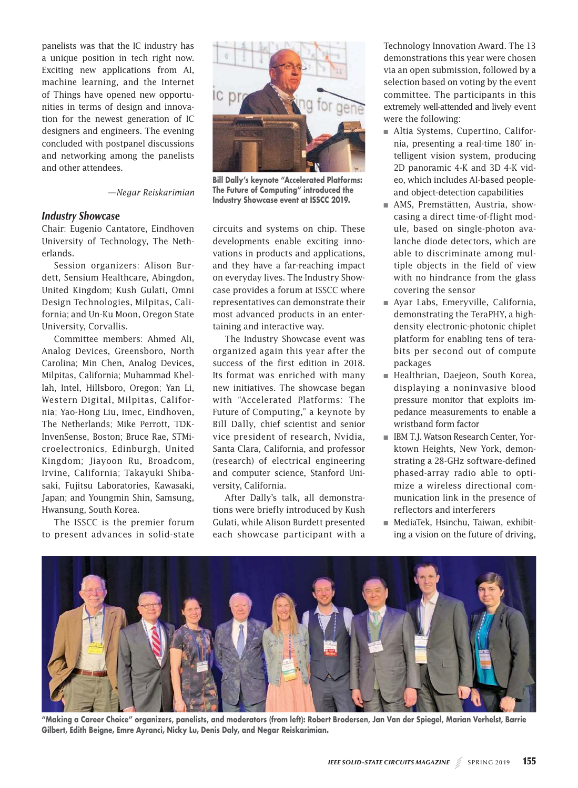panelists was that the IC industry has a unique position in tech right now. Exciting new applications from AI, machine learning, and the Internet of Things have opened new opportunities in terms of design and innovation for the newest generation of IC designers and engineers. The evening concluded with postpanel discussions and networking among the panelists and other attendees.

*—Negar Reiskarimian*

## *Industry Showcase*

Chair: Eugenio Cantatore, Eindhoven University of Technology, The Netherlands.

Session organizers: Alison Burdett, Sensium Healthcare, Abingdon, United Kingdom; Kush Gulati, Omni Design Technologies, Milpitas, California; and Un-Ku Moon, Oregon State University, Corvallis.

Committee members: Ahmed Ali, Analog Devices, Greensboro, North Carolina; Min Chen, Analog Devices, Milpitas, California; Muhammad Khellah, Intel, Hillsboro, Oregon; Yan Li, Western Digital, Milpitas, California; Yao-Hong Liu, imec, Eindhoven, The Netherlands; Mike Perrott, TDK-InvenSense, Boston; Bruce Rae, STMicroelectronics, Edinburgh, United Kingdom; Jiayoon Ru, Broadcom, Irvine, California; Takayuki Shibasaki, Fujitsu Laboratories, Kawasaki, Japan; and Youngmin Shin, Samsung, Hwansung, South Korea.

The ISSCC is the premier forum to present advances in solid-state



**Bill Dally's keynote "Accelerated Platforms: The Future of Computing" introduced the Industry Showcase event at ISSCC 2019.**

circuits and systems on chip. These developments enable exciting innovations in products and applications, and they have a far-reaching impact on everyday lives. The Industry Showcase provides a forum at ISSCC where representatives can demonstrate their most advanced products in an entertaining and interactive way.

The Industry Showcase event was organized again this year after the success of the first edition in 2018. Its format was enriched with many new initiatives. The showcase began with "Accelerated Platforms: The Future of Computing," a keynote by Bill Dally, chief scientist and senior vice president of research, Nvidia, Santa Clara, California, and professor (research) of electrical engineering and computer science, Stanford University, California.

After Dally's talk, all demonstrations were briefly introduced by Kush Gulati, while Alison Burdett presented each showcase participant with a Technology Innovation Award. The 13 demonstrations this year were chosen via an open submission, followed by a selection based on voting by the event committee. The participants in this extremely well-attended and lively event were the following:

- Altia Systems, Cupertino, California, presenting a real-time 180° intelligent vision system, producing 2D panoramic 4-K and 3D 4-K video, which includes AI-based peopleand object-detection capabilities
- AMS, Premstätten, Austria, showcasing a direct time-of-flight module, based on single-photon avalanche diode detectors, which are able to discriminate among multiple objects in the field of view with no hindrance from the glass covering the sensor
- Ayar Labs, Emeryville, California, demonstrating the TeraPHY, a highdensity electronic-photonic chiplet platform for enabling tens of terabits per second out of compute packages
- Healthrian, Daejeon, South Korea, displaying a noninvasive blood pressure monitor that exploits impedance measurements to enable a wristband form factor
- IBM T.J. Watson Research Center, Yorktown Heights, New York, demonstrating a 28-GHz software-defined phased-array radio able to optimize a wireless directional communication link in the presence of reflectors and interferers
- MediaTek, Hsinchu, Taiwan, exhibiting a vision on the future of driving,



**"Making a Career Choice" organizers, panelists, and moderators (from left): Robert Brodersen, Jan Van der Spiegel, Marian Verhelst, Barrie Gilbert, Edith Beigne, Emre Ayranci, Nicky Lu, Denis Daly, and Negar Reiskarimian.**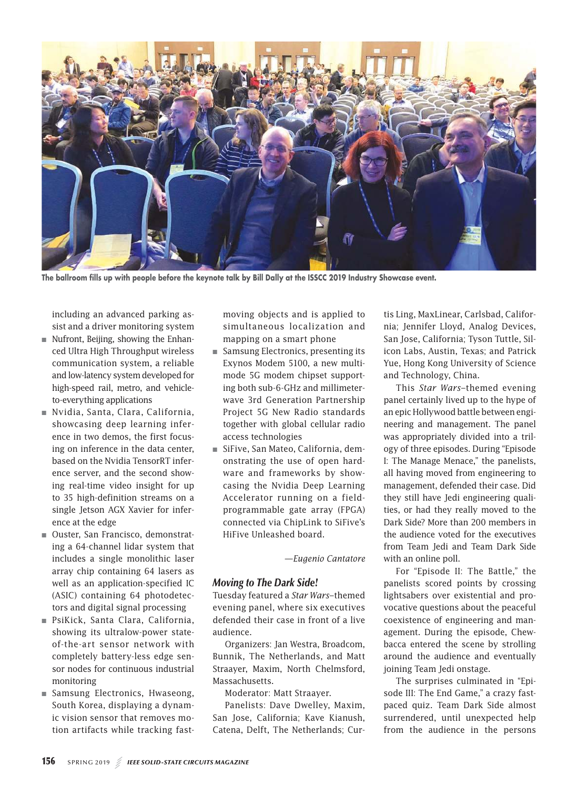

**The ballroom fills up with people before the keynote talk by Bill Dally at the ISSCC 2019 Industry Showcase event.**

including an advanced parking assist and a driver monitoring system

- $\blacksquare$  Nufront, Beijing, showing the Enhanced Ultra High Throughput wireless communication system, a reliable and low-latency system developed for high-speed rail, metro, and vehicleto-everything applications
- Nvidia, Santa, Clara, California, showcasing deep learning inference in two demos, the first focusing on inference in the data center, based on the Nvidia TensorRT inference server, and the second showing real-time video insight for up to 35 high-definition streams on a single Jetson AGX Xavier for inference at the edge
- Ouster, San Francisco, demonstrating a 64-channel lidar system that includes a single monolithic laser array chip containing 64 lasers as well as an application-specified IC (ASIC) containing 64 photodetectors and digital signal processing
- PsiKick, Santa Clara, California, showing its ultralow-power stateof-the-art sensor network with completely battery-less edge sensor nodes for continuous industrial monitoring
- Samsung Electronics, Hwaseong, South Korea, displaying a dynamic vision sensor that removes motion artifacts while tracking fast-

moving objects and is applied to simultaneous localization and mapping on a smart phone

- Samsung Electronics, presenting its Exynos Modem 5100, a new multimode 5G modem chipset supporting both sub-6-GHz and millimeterwave 3rd Generation Partnership Project 5G New Radio standards together with global cellular radio access technologies
- SiFive, San Mateo, California, demonstrating the use of open hardware and frameworks by showcasing the Nvidia Deep Learning Accelerator running on a fieldprogrammable gate array (FPGA) connected via ChipLink to SiFive's HiFive Unleashed board.

*—Eugenio Cantatore*

#### *Moving to The Dark Side!*

Tuesday featured a *Star Wars*–themed evening panel, where six executives defended their case in front of a live audience.

Organizers: Jan Westra, Broadcom, Bunnik, The Netherlands, and Matt Straayer, Maxim, North Chelmsford, Massachusetts.

Moderator: Matt Straayer.

Panelists: Dave Dwelley, Maxim, San Jose, California; Kave Kianush, Catena, Delft, The Netherlands; Curtis Ling, MaxLinear, Carlsbad, California; Jennifer Lloyd, Analog Devices, San Jose, California; Tyson Tuttle, Silicon Labs, Austin, Texas; and Patrick Yue, Hong Kong University of Science and Technology, China.

This *Star Wars*–themed evening panel certainly lived up to the hype of an epic Hollywood battle between engineering and management. The panel was appropriately divided into a trilogy of three episodes. During "Episode I: The Manage Menace," the panelists, all having moved from engineering to management, defended their case. Did they still have Jedi engineering qualities, or had they really moved to the Dark Side? More than 200 members in the audience voted for the executives from Team Jedi and Team Dark Side with an online poll.

For "Episode II: The Battle," the panelists scored points by crossing lightsabers over existential and provocative questions about the peaceful coexistence of engineering and management. During the episode, Chewbacca entered the scene by strolling around the audience and eventually joining Team Jedi onstage.

The surprises culminated in "Episode III: The End Game," a crazy fastpaced quiz. Team Dark Side almost surrendered, until unexpected help from the audience in the persons